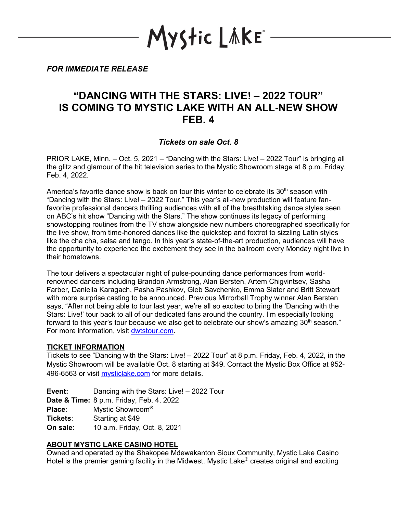YStic LÄKE\*

*FOR IMMEDIATE RELEASE*

# **"DANCING WITH THE STARS: LIVE! – 2022 TOUR" IS COMING TO MYSTIC LAKE WITH AN ALL-NEW SHOW FEB. 4**

## *Tickets on sale Oct. 8*

PRIOR LAKE, Minn. – Oct. 5, 2021 – "Dancing with the Stars: Live! – 2022 Tour" is bringing all the glitz and glamour of the hit television series to the Mystic Showroom stage at 8 p.m. Friday, Feb. 4, 2022.

America's favorite dance show is back on tour this winter to celebrate its  $30<sup>th</sup>$  season with "Dancing with the Stars: Live! – 2022 Tour." This year's all-new production will feature fanfavorite professional dancers thrilling audiences with all of the breathtaking dance styles seen on ABC's hit show "Dancing with the Stars." The show continues its legacy of performing showstopping routines from the TV show alongside new numbers choreographed specifically for the live show, from time-honored dances like the quickstep and foxtrot to sizzling Latin styles like the cha cha, salsa and tango. In this year's state-of-the-art production, audiences will have the opportunity to experience the excitement they see in the ballroom every Monday night live in their hometowns.

The tour delivers a spectacular night of pulse-pounding dance performances from worldrenowned dancers including Brandon Armstrong, Alan Bersten, Artem Chigvintsev, Sasha Farber, Daniella Karagach, Pasha Pashkov, Gleb Savchenko, Emma Slater and Britt Stewart with more surprise casting to be announced. Previous Mirrorball Trophy winner Alan Bersten says, "After not being able to tour last year, we're all so excited to bring the 'Dancing with the Stars: Live!' tour back to all of our dedicated fans around the country. I'm especially looking forward to this year's tour because we also get to celebrate our show's amazing  $30<sup>th</sup>$  season." For more information, visit [dwtstour.com.](https://dwtstour.com/)

### **TICKET INFORMATION**

Tickets to see "Dancing with the Stars: Live! – 2022 Tour" at 8 p.m. Friday, Feb. 4, 2022, in the Mystic Showroom will be available Oct. 8 starting at \$49. Contact the Mystic Box Office at 952 496-6563 or visit [mysticlake.com](http://www.mysticlake.com/) for more details.

**Event:** Dancing with the Stars: Live! – 2022 Tour **Date & Time:** 8 p.m. Friday, Feb. 4, 2022 **Place**: Mystic Showroom® **Tickets**: Starting at \$49 **On sale:** 10 a.m. Friday, Oct. 8, 2021

# **ABOUT MYSTIC LAKE CASINO HOTEL**

Owned and operated by the Shakopee Mdewakanton Sioux Community, Mystic Lake Casino Hotel is the premier gaming facility in the Midwest. Mystic Lake<sup>®</sup> creates original and exciting